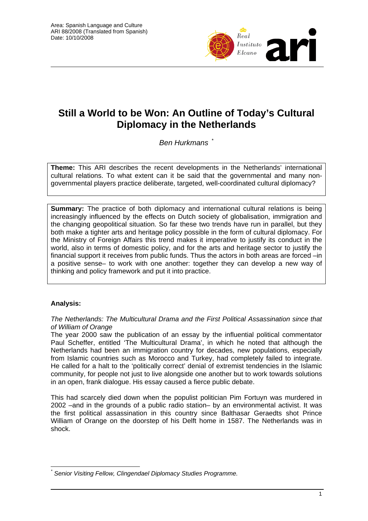

# **Still a World to be Won: An Outline of Today's Cultural Diplomacy in the Netherlands**

*Ben Hurkmans* [\\*](#page-0-0)

**Theme:** This ARI describes the recent developments in the Netherlands' international cultural relations. To what extent can it be said that the governmental and many nongovernmental players practice deliberate, targeted, well-coordinated cultural diplomacy?

**Summary:** The practice of both diplomacy and international cultural relations is being increasingly influenced by the effects on Dutch society of globalisation, immigration and the changing geopolitical situation. So far these two trends have run in parallel, but they both make a tighter arts and heritage policy possible in the form of cultural diplomacy. For the Ministry of Foreign Affairs this trend makes it imperative to justify its conduct in the world, also in terms of domestic policy, and for the arts and heritage sector to justify the financial support it receives from public funds. Thus the actors in both areas are forced –in a positive sense– to work with one another: together they can develop a new way of thinking and policy framework and put it into practice.

## **Analysis:**

*The Netherlands: The Multicultural Drama and the First Political Assassination since that of William of Orange* 

The year 2000 saw the publication of an essay by the influential political commentator Paul Scheffer, entitled 'The Multicultural Drama', in which he noted that although the Netherlands had been an immigration country for decades, new populations, especially from Islamic countries such as Morocco and Turkey, had completely failed to integrate. He called for a halt to the 'politically correct' denial of extremist tendencies in the Islamic community, for people not just to live alongside one another but to work towards solutions in an open, frank dialogue. His essay caused a fierce public debate.

This had scarcely died down when the populist politician Pim Fortuyn was murdered in 2002 –and in the grounds of a public radio station– by an environmental activist. It was the first political assassination in this country since Balthasar Geraedts shot Prince William of Orange on the doorstep of his Delft home in 1587. The Netherlands was in shock.

<span id="page-0-0"></span> $\overline{a}$ *\* Senior Visiting Fellow, Clingendael Diplomacy Studies Programme.*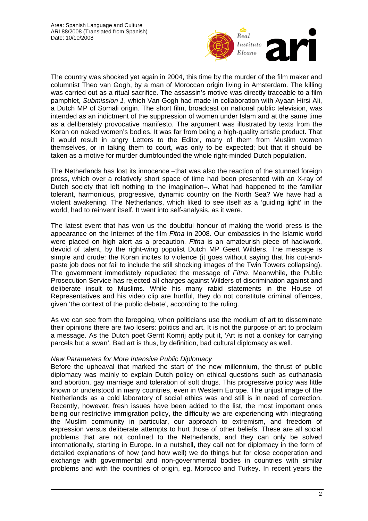

The country was shocked yet again in 2004, this time by the murder of the film maker and columnist Theo van Gogh, by a man of Moroccan origin living in Amsterdam. The killing was carried out as a ritual sacrifice. The assassin's motive was directly traceable to a film pamphlet, *Submission 1*, which Van Gogh had made in collaboration with Ayaan Hirsi Ali, a Dutch MP of Somali origin. The short film, broadcast on national public television, was intended as an indictment of the suppression of women under Islam and at the same time as a deliberately provocative manifesto. The argument was illustrated by texts from the Koran on naked women's bodies. It was far from being a high-quality artistic product. That it would result in angry Letters to the Editor, many of them from Muslim women themselves, or in taking them to court, was only to be expected; but that it should be taken as a motive for murder dumbfounded the whole right-minded Dutch population.

The Netherlands has lost its innocence –that was also the reaction of the stunned foreign press, which over a relatively short space of time had been presented with an X-ray of Dutch society that left nothing to the imagination–. What had happened to the familiar tolerant, harmonious, progressive, dynamic country on the North Sea? We have had a violent awakening. The Netherlands, which liked to see itself as a 'guiding light' in the world, had to reinvent itself. It went into self-analysis, as it were.

The latest event that has won us the doubtful honour of making the world press is the appearance on the Internet of the film *Fitna* in 2008. Our embassies in the Islamic world were placed on high alert as a precaution. *Fitna* is an amateurish piece of hackwork, devoid of talent, by the right-wing populist Dutch MP Geert Wilders. The message is simple and crude: the Koran incites to violence (it goes without saying that his cut-andpaste job does not fail to include the still shocking images of the Twin Towers collapsing). The government immediately repudiated the message of *Fitna*. Meanwhile, the Public Prosecution Service has rejected all charges against Wilders of discrimination against and deliberate insult to Muslims. While his many rabid statements in the House of Representatives and his video clip are hurtful, they do not constitute criminal offences, given 'the context of the public debate', according to the ruling.

As we can see from the foregoing, when politicians use the medium of art to disseminate their opinions there are two losers: politics and art. It is not the purpose of art to proclaim a message. As the Dutch poet Gerrit Komrij aptly put it, 'Art is not a donkey for carrying parcels but a swan'. Bad art is thus, by definition, bad cultural diplomacy as well.

## *New Parameters for More Intensive Public Diplomacy*

Before the upheaval that marked the start of the new millennium, the thrust of public diplomacy was mainly to explain Dutch policy on ethical questions such as euthanasia and abortion, gay marriage and toleration of soft drugs. This progressive policy was little known or understood in many countries, even in Western Europe. The unjust image of the Netherlands as a cold laboratory of social ethics was and still is in need of correction. Recently, however, fresh issues have been added to the list, the most important ones being our restrictive immigration policy, the difficulty we are experiencing with integrating the Muslim community in particular, our approach to extremism, and freedom of expression versus deliberate attempts to hurt those of other beliefs. These are all social problems that are not confined to the Netherlands, and they can only be solved internationally, starting in Europe. In a nutshell, they call not for diplomacy in the form of detailed explanations of how (and how well) we do things but for close cooperation and exchange with governmental and non-governmental bodies in countries with similar problems and with the countries of origin, eg, Morocco and Turkey. In recent years the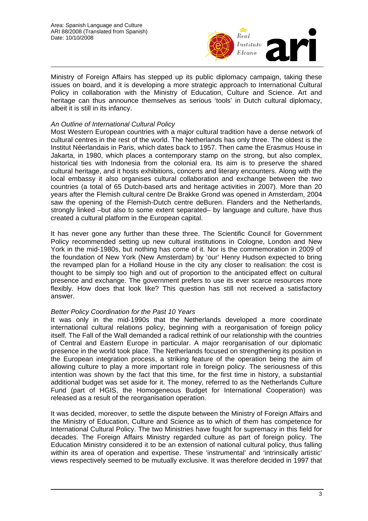

Ministry of Foreign Affairs has stepped up its public diplomacy campaign, taking these issues on board, and it is developing a more strategic approach to International Cultural Policy in collaboration with the Ministry of Education, Culture and Science. Art and heritage can thus announce themselves as serious 'tools' in Dutch cultural diplomacy, albeit it is still in its infancy.

## *An Outline of International Cultural Policy*

Most Western European countries with a major cultural tradition have a dense network of cultural centres in the rest of the world. The Netherlands has only three. The oldest is the Institut Néerlandais in Paris, which dates back to 1957. Then came the Erasmus House in Jakarta, in 1980, which places a contemporary stamp on the strong, but also complex, historical ties with Indonesia from the colonial era. Its aim is to preserve the shared cultural heritage, and it hosts exhibitions, concerts and literary encounters. Along with the local embassy it also organises cultural collaboration and exchange between the two countries (a total of 65 Dutch-based arts and heritage activities in 2007). More than 20 years after the Flemish cultural centre De Brakke Grond was opened in Amsterdam, 2004 saw the opening of the Flemish-Dutch centre deBuren. Flanders and the Netherlands, strongly linked –but also to some extent separated– by language and culture, have thus created a cultural platform in the European capital.

It has never gone any further than these three. The Scientific Council for Government Policy recommended setting up new cultural institutions in Cologne, London and New York in the mid-1980s, but nothing has come of it. Nor is the commemoration in 2009 of the foundation of New York (New Amsterdam) by 'our' Henry Hudson expected to bring the revamped plan for a Holland House in the city any closer to realisation: the cost is thought to be simply too high and out of proportion to the anticipated effect on cultural presence and exchange. The government prefers to use its ever scarce resources more flexibly. How does that look like? This question has still not received a satisfactory answer.

## *Better Policy Coordination for the Past 10 Years*

It was only in the mid-1990s that the Netherlands developed a more coordinate international cultural relations policy, beginning with a reorganisation of foreign policy itself. The Fall of the Wall demanded a radical rethink of our relationship with the countries of Central and Eastern Europe in particular. A major reorganisation of our diplomatic presence in the world took place. The Netherlands focused on strengthening its position in the European integration process, a striking feature of the operation being the aim of allowing culture to play a more important role in foreign policy. The seriousness of this intention was shown by the fact that this time, for the first time in history, a substantial additional budget was set aside for it. The money, referred to as the Netherlands Culture Fund (part of HGIS, the Homogeneous Budget for International Cooperation) was released as a result of the reorganisation operation.

It was decided, moreover, to settle the dispute between the Ministry of Foreign Affairs and the Ministry of Education, Culture and Science as to which of them has competence for International Cultural Policy. The two Ministries have fought for supremacy in this field for decades. The Foreign Affairs Ministry regarded culture as part of foreign policy. The Education Ministry considered it to be an extension of national cultural policy, thus falling within its area of operation and expertise. These 'instrumental' and 'intrinsically artistic' views respectively seemed to be mutually exclusive. It was therefore decided in 1997 that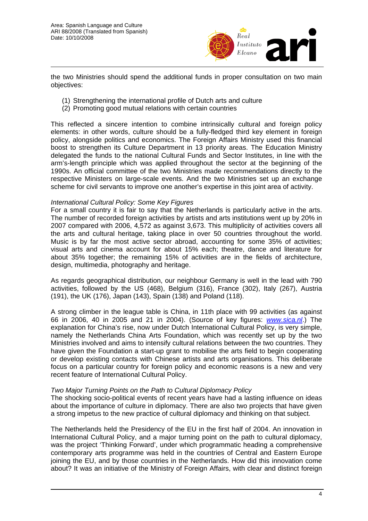

the two Ministries should spend the additional funds in proper consultation on two main objectives:

- (1) Strengthening the international profile of Dutch arts and culture
- (2) Promoting good mutual relations with certain countries

This reflected a sincere intention to combine intrinsically cultural and foreign policy elements: in other words, culture should be a fully-fledged third key element in foreign policy, alongside politics and economics. The Foreign Affairs Ministry used this financial boost to strengthen its Culture Department in 13 priority areas. The Education Ministry delegated the funds to the national Cultural Funds and Sector Institutes, in line with the arm's-length principle which was applied throughout the sector at the beginning of the 1990s. An official committee of the two Ministries made recommendations directly to the respective Ministers on large-scale events. And the two Ministries set up an exchange scheme for civil servants to improve one another's expertise in this joint area of activity.

#### *International Cultural Policy: Some Key Figures*

For a small country it is fair to say that the Netherlands is particularly active in the arts. The number of recorded foreign activities by artists and arts institutions went up by 20% in 2007 compared with 2006, 4,572 as against 3,673. This multiplicity of activities covers all the arts and cultural heritage, taking place in over 50 countries throughout the world. Music is by far the most active sector abroad, accounting for some 35% of activities; visual arts and cinema account for about 15% each; theatre, dance and literature for about 35% together; the remaining 15% of activities are in the fields of architecture, design, multimedia, photography and heritage.

As regards geographical distribution, our neighbour Germany is well in the lead with 790 activities, followed by the US (468), Belgium (316), France (302), Italy (267), Austria (191), the UK (176), Japan (143), Spain (138) and Poland (118).

A strong climber in the league table is China, in 11th place with 99 activities (as against 66 in 2006, 40 in 2005 and 21 in 2004). (Source of key figures: *[www.sica.nl](http://www.sica.nl/)*.) The explanation for China's rise, now under Dutch International Cultural Policy, is very simple, namely the Netherlands China Arts Foundation, which was recently set up by the two Ministries involved and aims to intensify cultural relations between the two countries. They have given the Foundation a start-up grant to mobilise the arts field to begin cooperating or develop existing contacts with Chinese artists and arts organisations. This deliberate focus on a particular country for foreign policy and economic reasons is a new and very recent feature of International Cultural Policy.

#### *Two Major Turning Points on the Path to Cultural Diplomacy Policy*

The shocking socio-political events of recent years have had a lasting influence on ideas about the importance of culture in diplomacy. There are also two projects that have given a strong impetus to the new practice of cultural diplomacy and thinking on that subject.

The Netherlands held the Presidency of the EU in the first half of 2004. An innovation in International Cultural Policy, and a major turning point on the path to cultural diplomacy, was the project 'Thinking Forward', under which programmatic heading a comprehensive contemporary arts programme was held in the countries of Central and Eastern Europe joining the EU, and by those countries in the Netherlands. How did this innovation come about? It was an initiative of the Ministry of Foreign Affairs, with clear and distinct foreign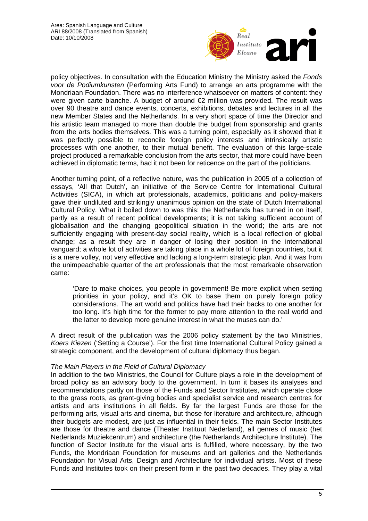

policy objectives. In consultation with the Education Ministry the Ministry asked the *Fonds voor de Podiumkunsten* (Performing Arts Fund) to arrange an arts programme with the Mondriaan Foundation. There was no interference whatsoever on matters of content: they were given carte blanche. A budget of around €2 million was provided. The result was over 90 theatre and dance events, concerts, exhibitions, debates and lectures in all the new Member States and the Netherlands. In a very short space of time the Director and his artistic team managed to more than double the budget from sponsorship and grants from the arts bodies themselves. This was a turning point, especially as it showed that it was perfectly possible to reconcile foreign policy interests and intrinsically artistic processes with one another, to their mutual benefit. The evaluation of this large-scale project produced a remarkable conclusion from the arts sector, that more could have been achieved in diplomatic terms, had it not been for reticence on the part of the politicians.

Another turning point, of a reflective nature, was the publication in 2005 of a collection of essays, 'All that Dutch', an initiative of the Service Centre for International Cultural Activities (SICA), in which art professionals, academics, politicians and policy-makers gave their undiluted and strikingly unanimous opinion on the state of Dutch International Cultural Policy. What it boiled down to was this: the Netherlands has turned in on itself, partly as a result of recent political developments; it is not taking sufficient account of globalisation and the changing geopolitical situation in the world; the arts are not sufficiently engaging with present-day social reality, which is a local reflection of global change; as a result they are in danger of losing their position in the international vanguard; a whole lot of activities are taking place in a whole lot of foreign countries, but it is a mere volley, not very effective and lacking a long-term strategic plan. And it was from the unimpeachable quarter of the art professionals that the most remarkable observation came:

'Dare to make choices, you people in government! Be more explicit when setting priorities in your policy, and it's OK to base them on purely foreign policy considerations. The art world and politics have had their backs to one another for too long. It's high time for the former to pay more attention to the real world and the latter to develop more genuine interest in what the muses can do.'

A direct result of the publication was the 2006 policy statement by the two Ministries, *Koers Kiezen* ('Setting a Course'). For the first time International Cultural Policy gained a strategic component, and the development of cultural diplomacy thus began.

## *The Main Players in the Field of Cultural Diplomacy*

In addition to the two Ministries, the Council for Culture plays a role in the development of broad policy as an advisory body to the government. In turn it bases its analyses and recommendations partly on those of the Funds and Sector Institutes, which operate close to the grass roots, as grant-giving bodies and specialist service and research centres for artists and arts institutions in all fields. By far the largest Funds are those for the performing arts, visual arts and cinema, but those for literature and architecture, although their budgets are modest, are just as influential in their fields. The main Sector Institutes are those for theatre and dance (Theater Instituut Nederland), all genres of music (het Nederlands Muziekcentrum) and architecture (the Netherlands Architecture Institute). The function of Sector Institute for the visual arts is fulfilled, where necessary, by the two Funds, the Mondriaan Foundation for museums and art galleries and the Netherlands Foundation for Visual Arts, Design and Architecture for individual artists. Most of these Funds and Institutes took on their present form in the past two decades. They play a vital